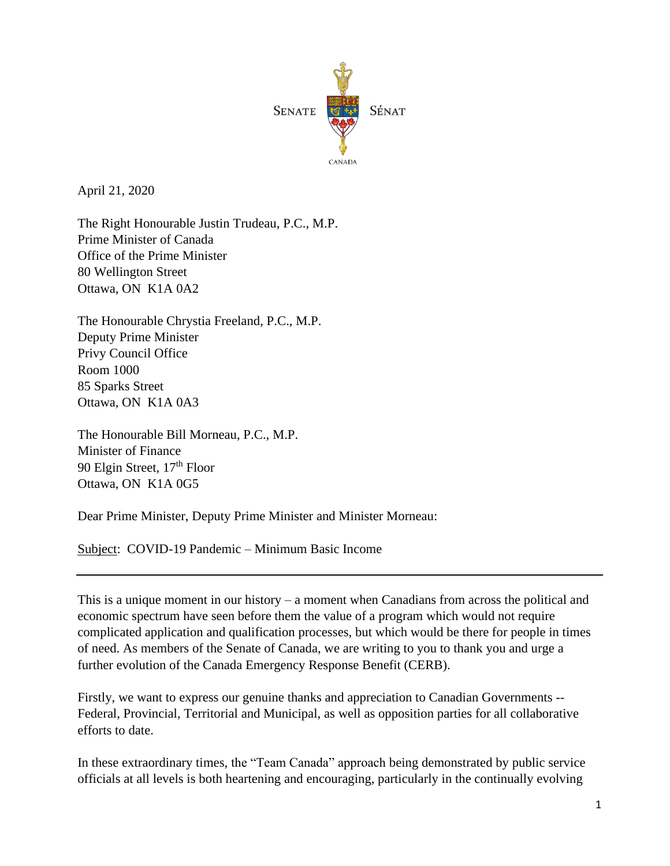

April 21, 2020

The Right Honourable Justin Trudeau, P.C., M.P. Prime Minister of Canada Office of the Prime Minister 80 Wellington Street Ottawa, ON K1A 0A2

The Honourable Chrystia Freeland, P.C., M.P. Deputy Prime Minister Privy Council Office Room 1000 85 Sparks Street Ottawa, ON K1A 0A3

The Honourable Bill Morneau, P.C., M.P. Minister of Finance 90 Elgin Street, 17<sup>th</sup> Floor Ottawa, ON K1A 0G5

Dear Prime Minister, Deputy Prime Minister and Minister Morneau:

Subject: COVID-19 Pandemic – Minimum Basic Income

This is a unique moment in our history – a moment when Canadians from across the political and economic spectrum have seen before them the value of a program which would not require complicated application and qualification processes, but which would be there for people in times of need. As members of the Senate of Canada, we are writing to you to thank you and urge a further evolution of the Canada Emergency Response Benefit (CERB).

Firstly, we want to express our genuine thanks and appreciation to Canadian Governments -- Federal, Provincial, Territorial and Municipal, as well as opposition parties for all collaborative efforts to date.

In these extraordinary times, the "Team Canada" approach being demonstrated by public service officials at all levels is both heartening and encouraging, particularly in the continually evolving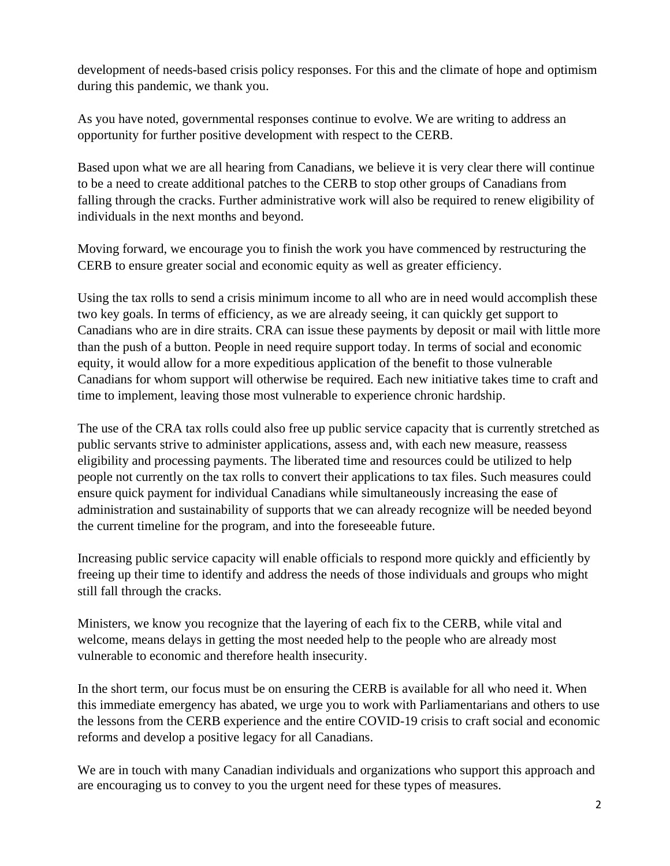development of needs-based crisis policy responses. For this and the climate of hope and optimism during this pandemic, we thank you.

As you have noted, governmental responses continue to evolve. We are writing to address an opportunity for further positive development with respect to the CERB.

Based upon what we are all hearing from Canadians, we believe it is very clear there will continue to be a need to create additional patches to the CERB to stop other groups of Canadians from falling through the cracks. Further administrative work will also be required to renew eligibility of individuals in the next months and beyond.

Moving forward, we encourage you to finish the work you have commenced by restructuring the CERB to ensure greater social and economic equity as well as greater efficiency.

Using the tax rolls to send a crisis minimum income to all who are in need would accomplish these two key goals. In terms of efficiency, as we are already seeing, it can quickly get support to Canadians who are in dire straits. CRA can issue these payments by deposit or mail with little more than the push of a button. People in need require support today. In terms of social and economic equity, it would allow for a more expeditious application of the benefit to those vulnerable Canadians for whom support will otherwise be required. Each new initiative takes time to craft and time to implement, leaving those most vulnerable to experience chronic hardship.

The use of the CRA tax rolls could also free up public service capacity that is currently stretched as public servants strive to administer applications, assess and, with each new measure, reassess eligibility and processing payments. The liberated time and resources could be utilized to help people not currently on the tax rolls to convert their applications to tax files. Such measures could ensure quick payment for individual Canadians while simultaneously increasing the ease of administration and sustainability of supports that we can already recognize will be needed beyond the current timeline for the program, and into the foreseeable future.

Increasing public service capacity will enable officials to respond more quickly and efficiently by freeing up their time to identify and address the needs of those individuals and groups who might still fall through the cracks.

Ministers, we know you recognize that the layering of each fix to the CERB, while vital and welcome, means delays in getting the most needed help to the people who are already most vulnerable to economic and therefore health insecurity.

In the short term, our focus must be on ensuring the CERB is available for all who need it. When this immediate emergency has abated, we urge you to work with Parliamentarians and others to use the lessons from the CERB experience and the entire COVID-19 crisis to craft social and economic reforms and develop a positive legacy for all Canadians.

We are in touch with many Canadian individuals and organizations who support this approach and are encouraging us to convey to you the urgent need for these types of measures.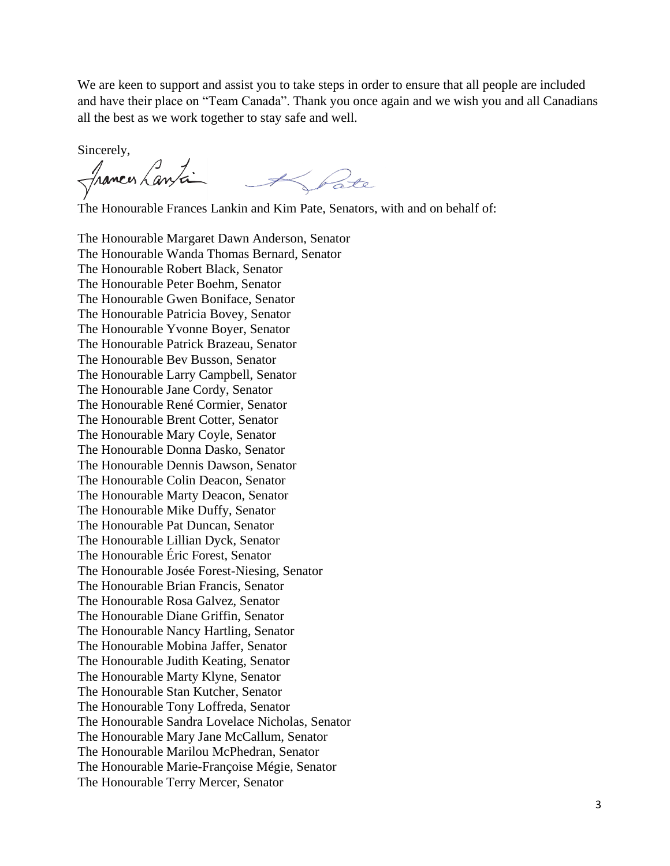We are keen to support and assist you to take steps in order to ensure that all people are included and have their place on "Team Canada". Thank you once again and we wish you and all Canadians all the best as we work together to stay safe and well.

Sincerely,

frances Lanta

The Honourable Frances Lankin and Kim Pate, Senators, with and on behalf of:

The Honourable Margaret Dawn Anderson, Senator The Honourable Wanda Thomas Bernard, Senator The Honourable Robert Black, Senator The Honourable Peter Boehm, Senator The Honourable Gwen Boniface, Senator The Honourable Patricia Bovey, Senator The Honourable Yvonne Boyer, Senator The Honourable Patrick Brazeau, Senator The Honourable Bev Busson, Senator The Honourable Larry Campbell, Senator The Honourable Jane Cordy, Senator The Honourable René Cormier, Senator The Honourable Brent Cotter, Senator The Honourable Mary Coyle, Senator The Honourable Donna Dasko, Senator The Honourable Dennis Dawson, Senator The Honourable Colin Deacon, Senator The Honourable Marty Deacon, Senator The Honourable Mike Duffy, Senator The Honourable Pat Duncan, Senator The Honourable Lillian Dyck, Senator The Honourable Éric Forest, Senator The Honourable Josée Forest-Niesing, Senator The Honourable Brian Francis, Senator The Honourable Rosa Galvez, Senator The Honourable Diane Griffin, Senator The Honourable Nancy Hartling, Senator The Honourable Mobina Jaffer, Senator The Honourable Judith Keating, Senator The Honourable Marty Klyne, Senator The Honourable Stan Kutcher, Senator The Honourable Tony Loffreda, Senator The Honourable Sandra Lovelace Nicholas, Senator The Honourable Mary Jane McCallum, Senator The Honourable Marilou McPhedran, Senator The Honourable Marie-Françoise Mégie, Senator The Honourable Terry Mercer, Senator